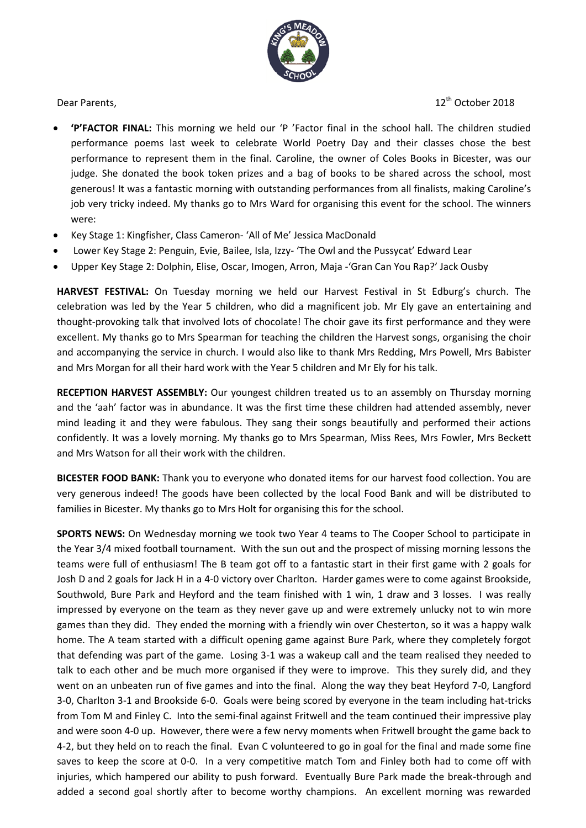

Dear Parents, 2018

- **'P'FACTOR FINAL:** This morning we held our 'P 'Factor final in the school hall. The children studied performance poems last week to celebrate World Poetry Day and their classes chose the best performance to represent them in the final. Caroline, the owner of Coles Books in Bicester, was our judge. She donated the book token prizes and a bag of books to be shared across the school, most generous! It was a fantastic morning with outstanding performances from all finalists, making Caroline's job very tricky indeed. My thanks go to Mrs Ward for organising this event for the school. The winners were:
- Key Stage 1: Kingfisher, Class Cameron- 'All of Me' Jessica MacDonald
- Lower Key Stage 2: Penguin, Evie, Bailee, Isla, Izzy- 'The Owl and the Pussycat' Edward Lear
- Upper Key Stage 2: Dolphin, Elise, Oscar, Imogen, Arron, Maja -'Gran Can You Rap?' Jack Ousby

**HARVEST FESTIVAL:** On Tuesday morning we held our Harvest Festival in St Edburg's church. The celebration was led by the Year 5 children, who did a magnificent job. Mr Ely gave an entertaining and thought-provoking talk that involved lots of chocolate! The choir gave its first performance and they were excellent. My thanks go to Mrs Spearman for teaching the children the Harvest songs, organising the choir and accompanying the service in church. I would also like to thank Mrs Redding, Mrs Powell, Mrs Babister and Mrs Morgan for all their hard work with the Year 5 children and Mr Ely for his talk.

**RECEPTION HARVEST ASSEMBLY:** Our youngest children treated us to an assembly on Thursday morning and the 'aah' factor was in abundance. It was the first time these children had attended assembly, never mind leading it and they were fabulous. They sang their songs beautifully and performed their actions confidently. It was a lovely morning. My thanks go to Mrs Spearman, Miss Rees, Mrs Fowler, Mrs Beckett and Mrs Watson for all their work with the children.

**BICESTER FOOD BANK:** Thank you to everyone who donated items for our harvest food collection. You are very generous indeed! The goods have been collected by the local Food Bank and will be distributed to families in Bicester. My thanks go to Mrs Holt for organising this for the school.

**SPORTS NEWS:** On Wednesday morning we took two Year 4 teams to The Cooper School to participate in the Year 3/4 mixed football tournament. With the sun out and the prospect of missing morning lessons the teams were full of enthusiasm! The B team got off to a fantastic start in their first game with 2 goals for Josh D and 2 goals for Jack H in a 4-0 victory over Charlton. Harder games were to come against Brookside, Southwold, Bure Park and Heyford and the team finished with 1 win, 1 draw and 3 losses. I was really impressed by everyone on the team as they never gave up and were extremely unlucky not to win more games than they did. They ended the morning with a friendly win over Chesterton, so it was a happy walk home. The A team started with a difficult opening game against Bure Park, where they completely forgot that defending was part of the game. Losing 3-1 was a wakeup call and the team realised they needed to talk to each other and be much more organised if they were to improve. This they surely did, and they went on an unbeaten run of five games and into the final. Along the way they beat Heyford 7-0, Langford 3-0, Charlton 3-1 and Brookside 6-0. Goals were being scored by everyone in the team including hat-tricks from Tom M and Finley C. Into the semi-final against Fritwell and the team continued their impressive play and were soon 4-0 up. However, there were a few nervy moments when Fritwell brought the game back to 4-2, but they held on to reach the final. Evan C volunteered to go in goal for the final and made some fine saves to keep the score at 0-0. In a very competitive match Tom and Finley both had to come off with injuries, which hampered our ability to push forward. Eventually Bure Park made the break-through and added a second goal shortly after to become worthy champions. An excellent morning was rewarded